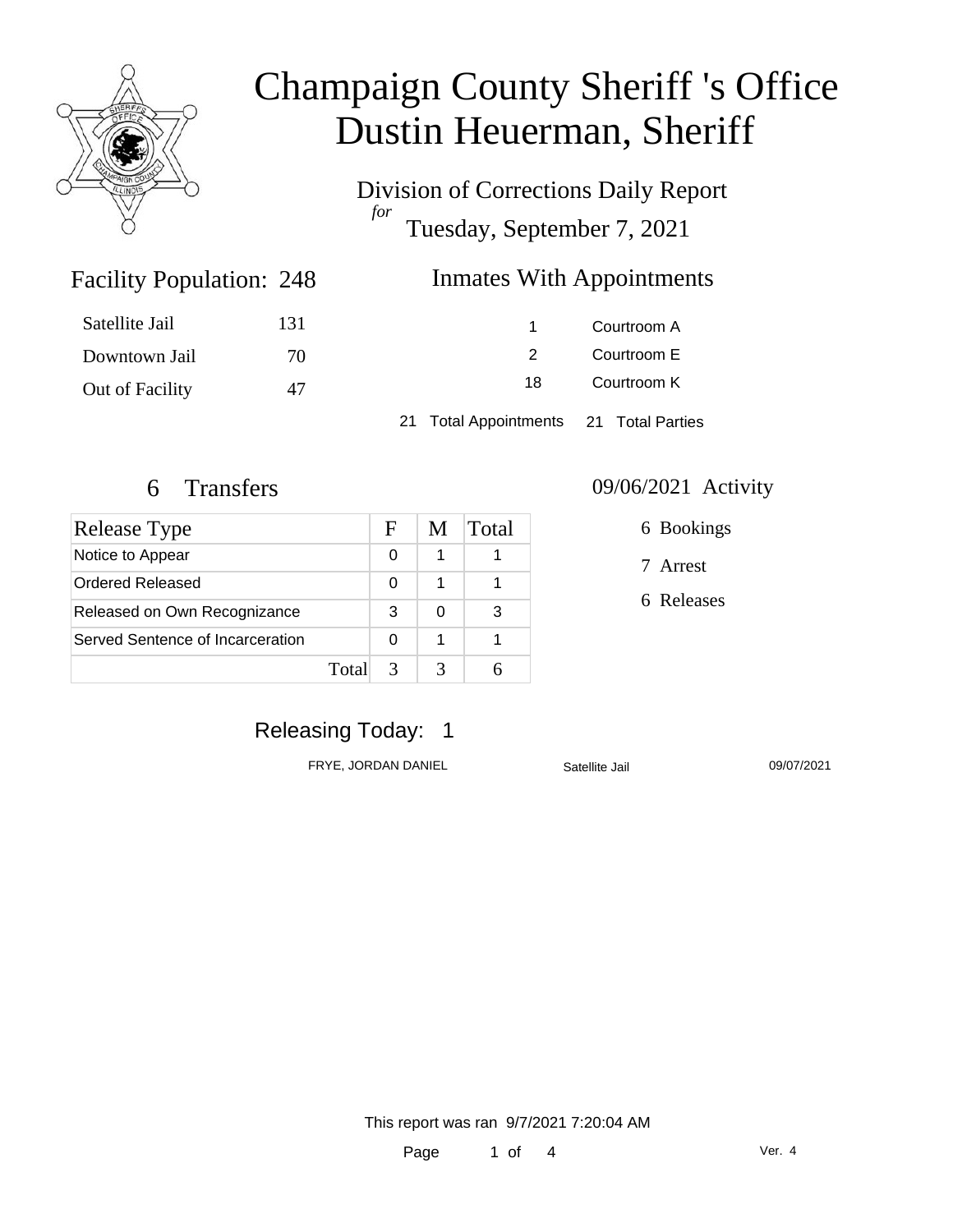

Division of Corrections Daily Report *for* Tuesday, September 7, 2021

### Inmates With Appointments

| Satellite Jail  | 131 |     | Courtroom A |
|-----------------|-----|-----|-------------|
| Downtown Jail   | 70. |     | Courtroom E |
| Out of Facility | 47  | 18. | Courtroom K |
|                 |     |     |             |

21 Total Appointments 21 Total Parties

Facility Population: 248

| <b>Release Type</b>              |       | F | M | Total |
|----------------------------------|-------|---|---|-------|
| Notice to Appear                 |       | 0 | 1 |       |
| Ordered Released                 |       | 0 |   |       |
| Released on Own Recognizance     |       | 3 | 0 | З     |
| Served Sentence of Incarceration |       | 0 |   |       |
|                                  | Total | 3 |   |       |

#### 6 Transfers 09/06/2021 Activity

6 Bookings

7 Arrest

6 Releases

## Releasing Today: 1

FRYE, JORDAN DANIEL Satellite Jail 09/07/2021

This report was ran 9/7/2021 7:20:04 AM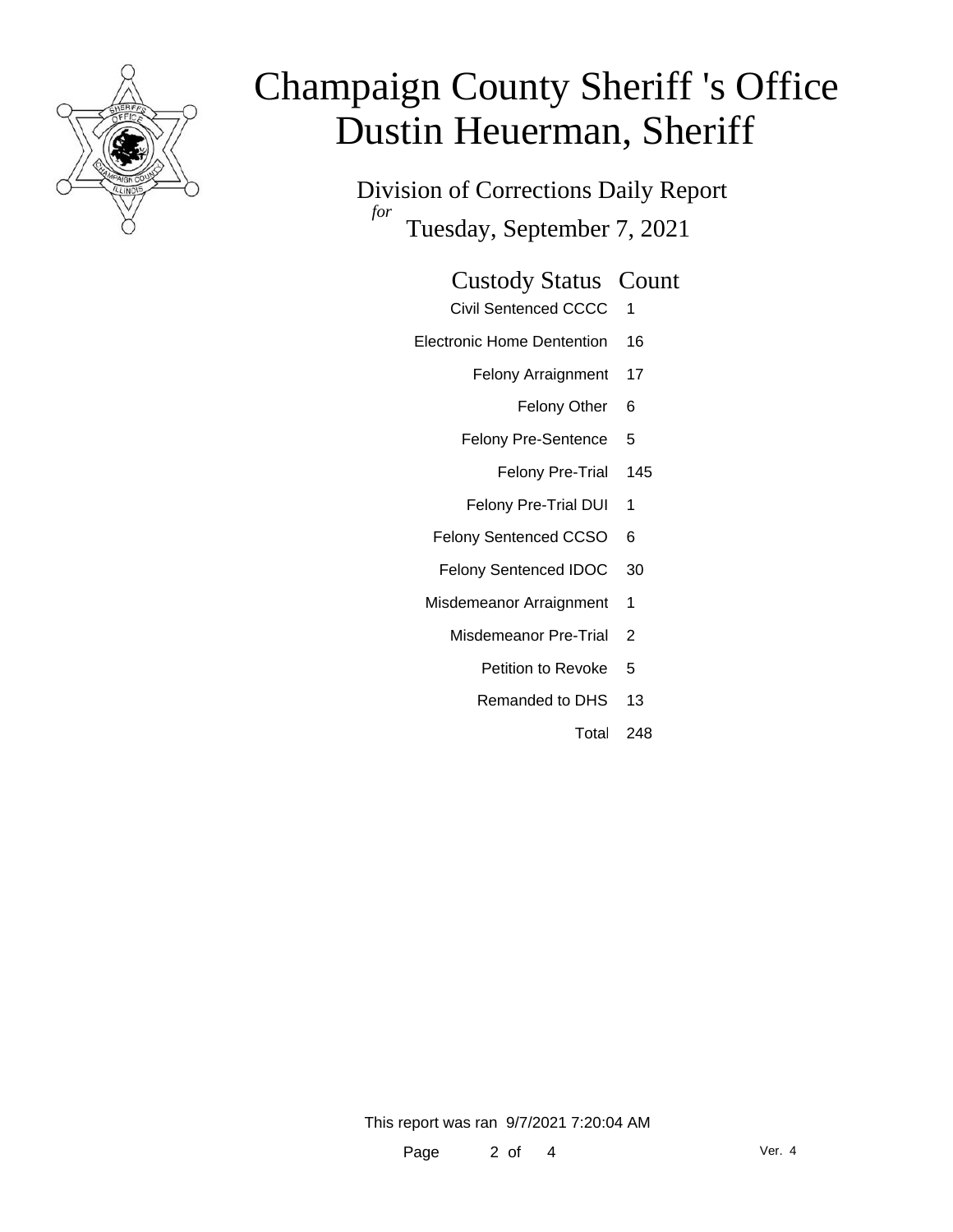

Division of Corrections Daily Report *for* Tuesday, September 7, 2021

### Custody Status Count

- Civil Sentenced CCCC 1
- Electronic Home Dentention 16
	- Felony Arraignment 17
		- Felony Other 6
	- Felony Pre-Sentence 5
		- Felony Pre-Trial 145
	- Felony Pre-Trial DUI 1
	- Felony Sentenced CCSO 6
	- Felony Sentenced IDOC 30
	- Misdemeanor Arraignment 1
		- Misdemeanor Pre-Trial 2
			- Petition to Revoke 5
			- Remanded to DHS 13
				- Total 248

This report was ran 9/7/2021 7:20:04 AM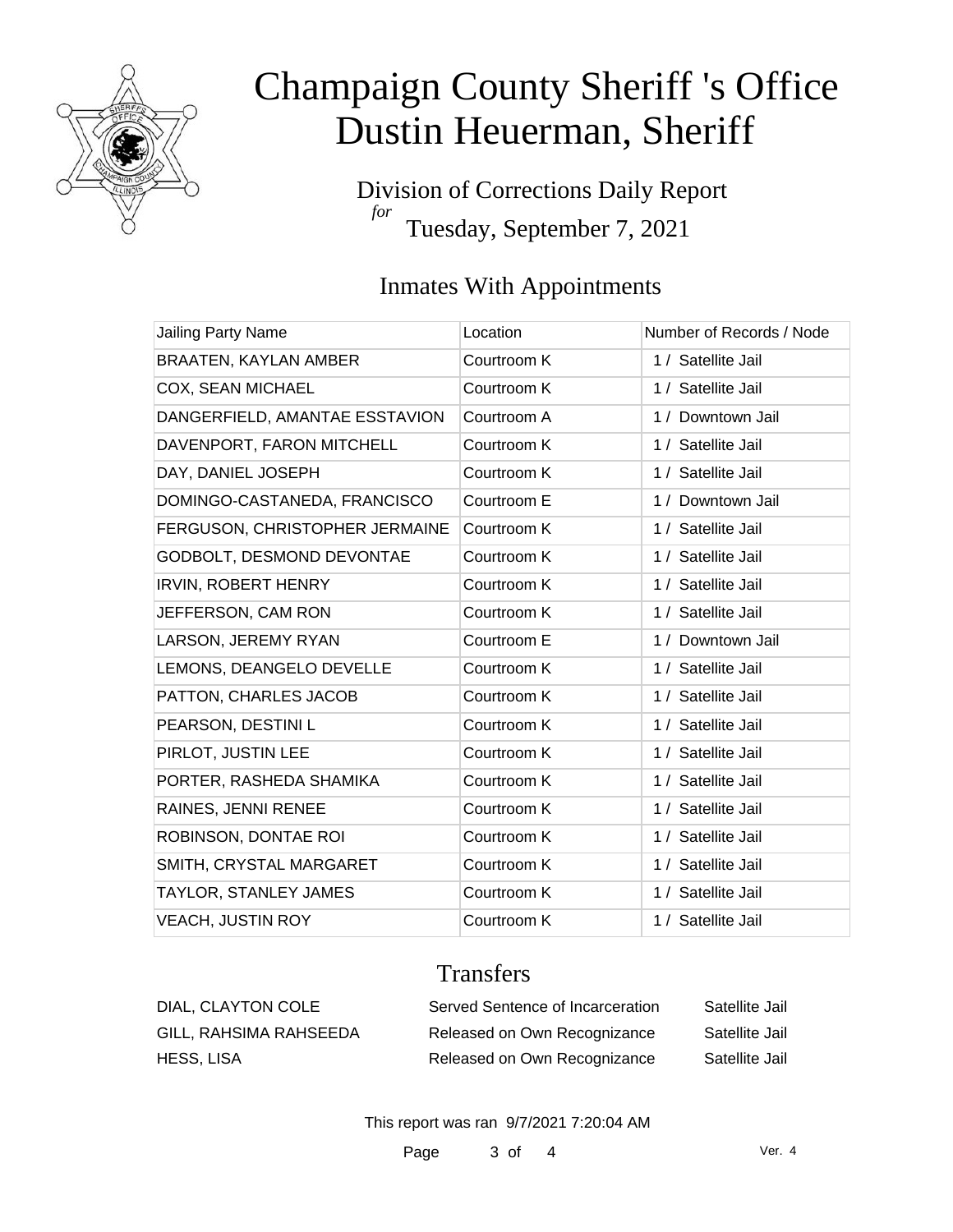

Division of Corrections Daily Report *for* Tuesday, September 7, 2021

## Inmates With Appointments

| <b>Jailing Party Name</b>      | Location    | Number of Records / Node |
|--------------------------------|-------------|--------------------------|
| <b>BRAATEN, KAYLAN AMBER</b>   | Courtroom K | 1 / Satellite Jail       |
| COX, SEAN MICHAEL              | Courtroom K | 1 / Satellite Jail       |
| DANGERFIELD, AMANTAE ESSTAVION | Courtroom A | 1 / Downtown Jail        |
| DAVENPORT, FARON MITCHELL      | Courtroom K | 1 / Satellite Jail       |
| DAY, DANIEL JOSEPH             | Courtroom K | 1 / Satellite Jail       |
| DOMINGO-CASTANEDA, FRANCISCO   | Courtroom E | 1 / Downtown Jail        |
| FERGUSON, CHRISTOPHER JERMAINE | Courtroom K | 1 / Satellite Jail       |
| GODBOLT, DESMOND DEVONTAE      | Courtroom K | 1 / Satellite Jail       |
| <b>IRVIN, ROBERT HENRY</b>     | Courtroom K | 1 / Satellite Jail       |
| JEFFERSON, CAM RON             | Courtroom K | 1 / Satellite Jail       |
| LARSON, JEREMY RYAN            | Courtroom E | 1 / Downtown Jail        |
| LEMONS, DEANGELO DEVELLE       | Courtroom K | 1 / Satellite Jail       |
| PATTON, CHARLES JACOB          | Courtroom K | 1 / Satellite Jail       |
| PEARSON, DESTINI L             | Courtroom K | 1 / Satellite Jail       |
| PIRLOT, JUSTIN LEE             | Courtroom K | 1 / Satellite Jail       |
| PORTER, RASHEDA SHAMIKA        | Courtroom K | 1 / Satellite Jail       |
| RAINES, JENNI RENEE            | Courtroom K | 1 / Satellite Jail       |
| ROBINSON, DONTAE ROI           | Courtroom K | 1 / Satellite Jail       |
| SMITH, CRYSTAL MARGARET        | Courtroom K | 1 / Satellite Jail       |
| TAYLOR, STANLEY JAMES          | Courtroom K | 1 / Satellite Jail       |
| <b>VEACH, JUSTIN ROY</b>       | Courtroom K | 1 / Satellite Jail       |

## **Transfers**

| DIAL, CLAYTON COLE     | Served Sentence of Incarceration | Satellite Jail |
|------------------------|----------------------------------|----------------|
| GILL, RAHSIMA RAHSEEDA | Released on Own Recognizance     | Satellite Jail |
| HESS, LISA             | Released on Own Recognizance     | Satellite Jail |